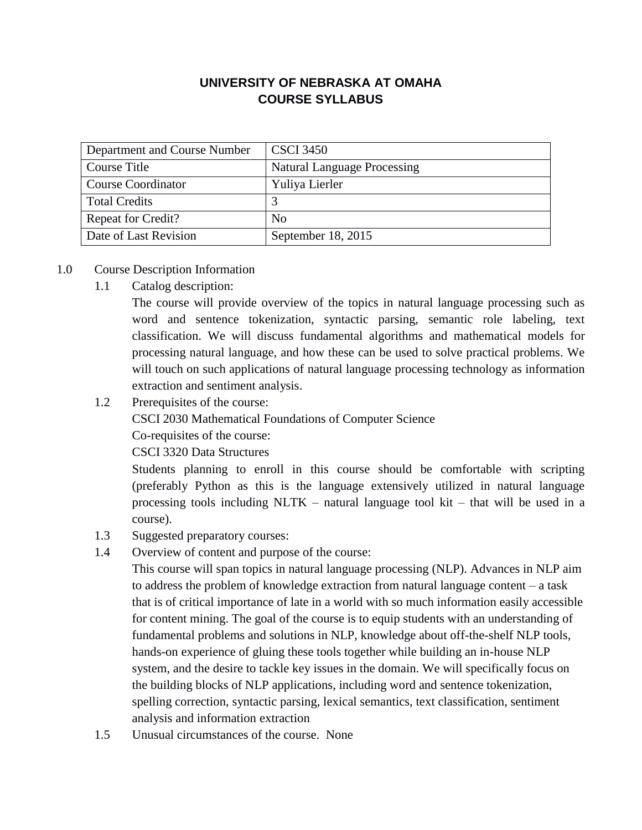## **UNIVERSITY OF NEBRASKA AT OMAHA COURSE SYLLABUS**

| Department and Course Number | <b>CSCI 3450</b>                   |
|------------------------------|------------------------------------|
| Course Title                 | <b>Natural Language Processing</b> |
| <b>Course Coordinator</b>    | Yuliya Lierler                     |
| <b>Total Credits</b>         |                                    |
| Repeat for Credit?           | N <sub>0</sub>                     |
| Date of Last Revision        | September 18, 2015                 |

## 1.0 Course Description Information

1.1 Catalog description:

The course will provide overview of the topics in natural language processing such as word and sentence tokenization, syntactic parsing, semantic role labeling, text classification. We will discuss fundamental algorithms and mathematical models for processing natural language, and how these can be used to solve practical problems. We will touch on such applications of natural language processing technology as information extraction and sentiment analysis.

1.2 Prerequisites of the course:

CSCI 2030 Mathematical Foundations of Computer Science

Co-requisites of the course:

CSCI 3320 Data Structures

Students planning to enroll in this course should be comfortable with scripting (preferably Python as this is the language extensively utilized in natural language processing tools including NLTK – natural language tool kit – that will be used in a course).

- 1.3 Suggested preparatory courses:
- 1.4 Overview of content and purpose of the course:

This course will span topics in natural language processing (NLP). Advances in NLP aim to address the problem of knowledge extraction from natural language content – a task that is of critical importance of late in a world with so much information easily accessible for content mining. The goal of the course is to equip students with an understanding of fundamental problems and solutions in NLP, knowledge about off-the-shelf NLP tools, hands-on experience of gluing these tools together while building an in-house NLP system, and the desire to tackle key issues in the domain. We will specifically focus on the building blocks of NLP applications, including word and sentence tokenization, spelling correction, syntactic parsing, lexical semantics, text classification, sentiment analysis and information extraction

1.5 Unusual circumstances of the course. None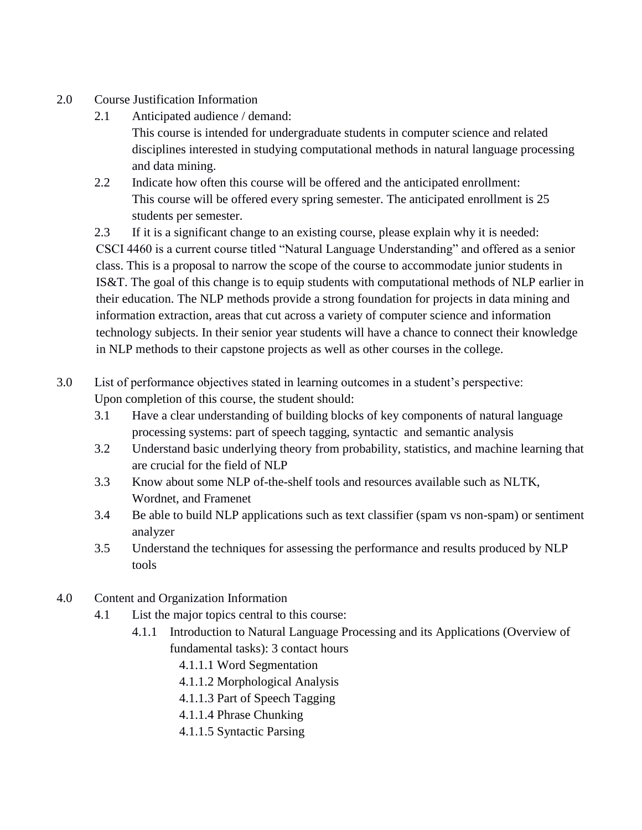- 2.0 Course Justification Information
	- 2.1 Anticipated audience / demand:

This course is intended for undergraduate students in computer science and related disciplines interested in studying computational methods in natural language processing and data mining.

2.2 Indicate how often this course will be offered and the anticipated enrollment: This course will be offered every spring semester. The anticipated enrollment is 25 students per semester.

2.3 If it is a significant change to an existing course, please explain why it is needed: CSCI 4460 is a current course titled "Natural Language Understanding" and offered as a senior class. This is a proposal to narrow the scope of the course to accommodate junior students in IS&T. The goal of this change is to equip students with computational methods of NLP earlier in their education. The NLP methods provide a strong foundation for projects in data mining and information extraction, areas that cut across a variety of computer science and information technology subjects. In their senior year students will have a chance to connect their knowledge in NLP methods to their capstone projects as well as other courses in the college.

- 3.0 List of performance objectives stated in learning outcomes in a student's perspective: Upon completion of this course, the student should:
	- 3.1 Have a clear understanding of building blocks of key components of natural language processing systems: part of speech tagging, syntactic and semantic analysis
	- 3.2 Understand basic underlying theory from probability, statistics, and machine learning that are crucial for the field of NLP
	- 3.3 Know about some NLP of-the-shelf tools and resources available such as NLTK, Wordnet, and Framenet
	- 3.4 Be able to build NLP applications such as text classifier (spam vs non-spam) or sentiment analyzer
	- 3.5 Understand the techniques for assessing the performance and results produced by NLP tools
- 4.0 Content and Organization Information
	- 4.1 List the major topics central to this course:
		- 4.1.1 Introduction to Natural Language Processing and its Applications (Overview of fundamental tasks): 3 contact hours
			- 4.1.1.1 Word Segmentation
			- 4.1.1.2 Morphological Analysis
			- 4.1.1.3 Part of Speech Tagging
			- 4.1.1.4 Phrase Chunking
			- 4.1.1.5 Syntactic Parsing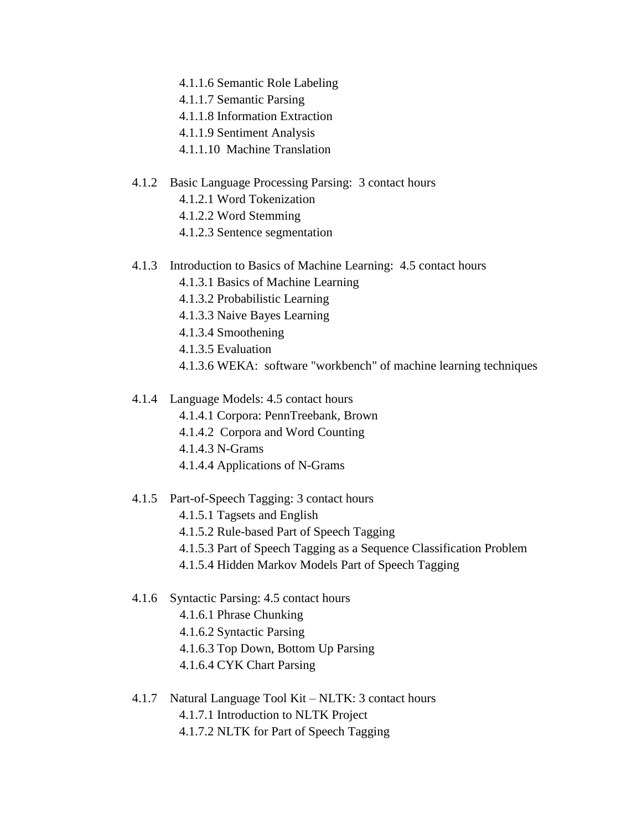- 4.1.1.6 Semantic Role Labeling
- 4.1.1.7 Semantic Parsing
- 4.1.1.8 Information Extraction
- 4.1.1.9 Sentiment Analysis
- 4.1.1.10 Machine Translation

#### 4.1.2 Basic Language Processing Parsing: 3 contact hours

- 4.1.2.1 Word Tokenization
- 4.1.2.2 Word Stemming
- 4.1.2.3 Sentence segmentation
- 4.1.3 Introduction to Basics of Machine Learning: 4.5 contact hours
	- 4.1.3.1 Basics of Machine Learning
	- 4.1.3.2 Probabilistic Learning
	- 4.1.3.3 Naive Bayes Learning
	- 4.1.3.4 Smoothening
	- 4.1.3.5 Evaluation
	- 4.1.3.6 WEKA: software "workbench" of machine learning techniques

#### 4.1.4 Language Models: 4.5 contact hours

- 4.1.4.1 Corpora: PennTreebank, Brown
- 4.1.4.2 Corpora and Word Counting
- 4.1.4.3 N-Grams
- 4.1.4.4 Applications of N-Grams
- 4.1.5 Part-of-Speech Tagging: 3 contact hours
	- 4.1.5.1 Tagsets and English
	- 4.1.5.2 Rule-based Part of Speech Tagging
	- 4.1.5.3 Part of Speech Tagging as a Sequence Classification Problem
	- 4.1.5.4 Hidden Markov Models Part of Speech Tagging
- 4.1.6 Syntactic Parsing: 4.5 contact hours
	- 4.1.6.1 Phrase Chunking
	- 4.1.6.2 Syntactic Parsing
	- 4.1.6.3 Top Down, Bottom Up Parsing
	- 4.1.6.4 CYK Chart Parsing
- 4.1.7 Natural Language Tool Kit NLTK: 3 contact hours
	- 4.1.7.1 Introduction to NLTK Project
	- 4.1.7.2 NLTK for Part of Speech Tagging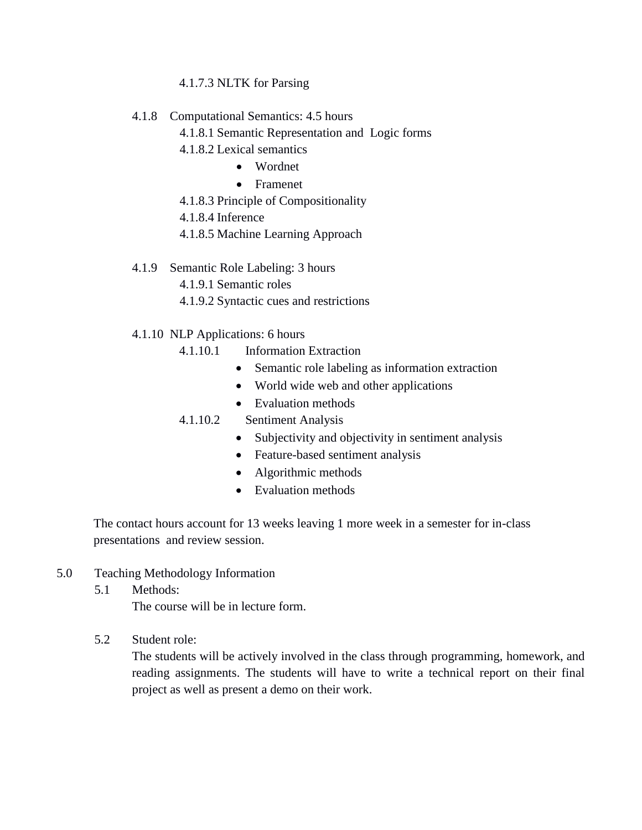### 4.1.7.3 NLTK for Parsing

- 4.1.8 Computational Semantics: 4.5 hours
	- 4.1.8.1 Semantic Representation and Logic forms
	- 4.1.8.2 Lexical semantics
		- Wordnet
			- Framenet
	- 4.1.8.3 Principle of Compositionality
	- 4.1.8.4 Inference
	- 4.1.8.5 Machine Learning Approach
- 4.1.9 Semantic Role Labeling: 3 hours
	- 4.1.9.1 Semantic roles
	- 4.1.9.2 Syntactic cues and restrictions
- 4.1.10 NLP Applications: 6 hours
	- 4.1.10.1 Information Extraction
		- Semantic role labeling as information extraction
		- World wide web and other applications
		- Evaluation methods

## 4.1.10.2 Sentiment Analysis

- Subjectivity and objectivity in sentiment analysis
- Feature-based sentiment analysis
- Algorithmic methods
- Evaluation methods

The contact hours account for 13 weeks leaving 1 more week in a semester for in-class presentations and review session.

- 5.0 Teaching Methodology Information
	- 5.1 Methods:

The course will be in lecture form.

5.2 Student role:

The students will be actively involved in the class through programming, homework, and reading assignments. The students will have to write a technical report on their final project as well as present a demo on their work.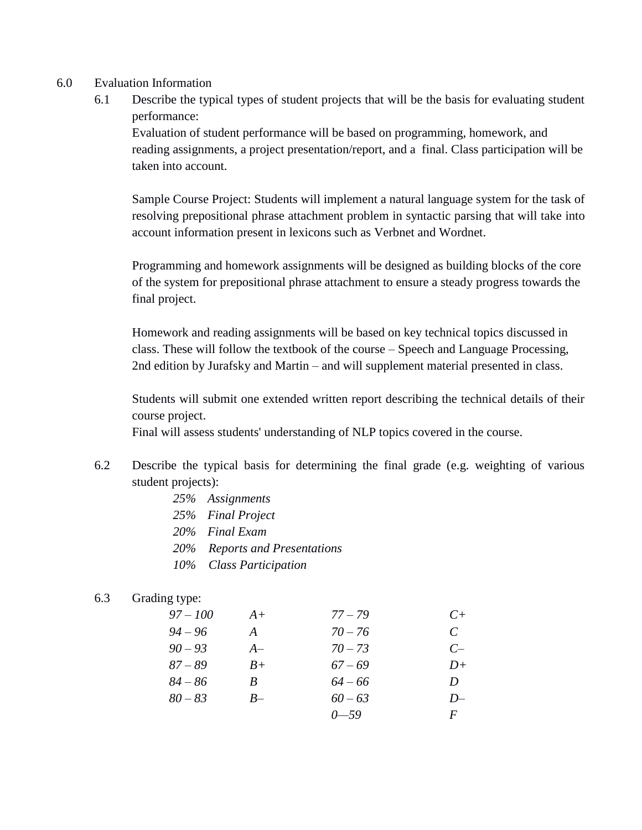- 6.0 Evaluation Information
	- 6.1 Describe the typical types of student projects that will be the basis for evaluating student performance:

Evaluation of student performance will be based on programming, homework, and reading assignments, a project presentation/report, and a final. Class participation will be taken into account.

Sample Course Project: Students will implement a natural language system for the task of resolving prepositional phrase attachment problem in syntactic parsing that will take into account information present in lexicons such as Verbnet and Wordnet.

Programming and homework assignments will be designed as building blocks of the core of the system for prepositional phrase attachment to ensure a steady progress towards the final project.

Homework and reading assignments will be based on key technical topics discussed in class. These will follow the textbook of the course – Speech and Language Processing, 2nd edition by Jurafsky and Martin – and will supplement material presented in class.

Students will submit one extended written report describing the technical details of their course project.

Final will assess students' understanding of NLP topics covered in the course.

- 6.2 Describe the typical basis for determining the final grade (e.g. weighting of various student projects):
	- *25% Assignments 25% Final Project 20% Final Exam 20% Reports and Presentations*
	- *10% Class Participation*

#### 6.3 Grading type:

| $97 - 100$ | $A+$ | $77 - 79$ | $C+$     |
|------------|------|-----------|----------|
| $94 - 96$  | A    | $70 - 76$ | C        |
| $90 - 93$  | $A-$ | $70 - 73$ | $C-$     |
| $87 - 89$  | $B+$ | $67 - 69$ | $D+$     |
| $84 - 86$  | R    | $64 - 66$ | D        |
| $80 - 83$  | $B-$ | $60 - 63$ | $D-$     |
|            |      | $0 - 59$  | $\bm{F}$ |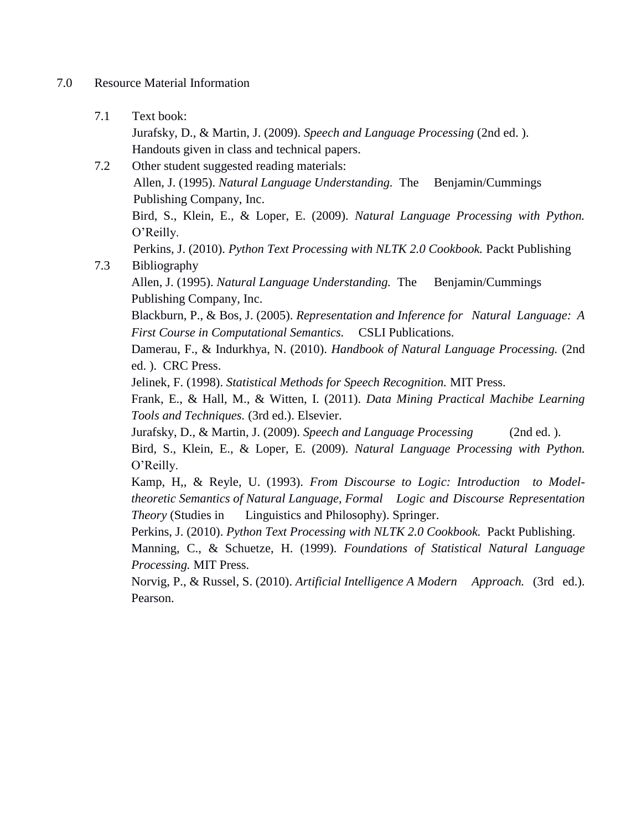#### 7.0 Resource Material Information

7.1 Text book:

Jurafsky, D., & Martin, J. (2009). *Speech and Language Processing* (2nd ed. ). Handouts given in class and technical papers.

7.2 Other student suggested reading materials: Allen, J. (1995). *Natural Language Understanding.* The Benjamin/Cummings Publishing Company, Inc. Bird, S., Klein, E., & Loper, E. (2009). *Natural Language Processing with Python.* O'Reilly. Perkins, J. (2010). *Python Text Processing with NLTK 2.0 Cookbook.* Packt Publishing 7.3 Bibliography Allen, J. (1995). *Natural Language Understanding.* The Benjamin/Cummings Publishing Company, Inc. Blackburn, P., & Bos, J. (2005). *Representation and Inference for Natural Language: A First Course in Computational Semantics.* CSLI Publications. Damerau, F., & Indurkhya, N. (2010). *Handbook of Natural Language Processing.* (2nd ed. ). CRC Press.

Jelinek, F. (1998). *Statistical Methods for Speech Recognition.* MIT Press.

Frank, E., & Hall, M., & Witten, I. (2011). *Data Mining Practical Machibe Learning Tools and Techniques.* (3rd ed.). Elsevier.

Jurafsky, D., & Martin, J. (2009). *Speech and Language Processing* (2nd ed. ).

Bird, S., Klein, E., & Loper, E. (2009). *Natural Language Processing with Python.* O'Reilly.

Kamp, H,, & Reyle, U. (1993). *From Discourse to Logic: Introduction to Modeltheoretic Semantics of Natural Language, Formal Logic and Discourse Representation Theory* (Studies in Linguistics and Philosophy). Springer.

Perkins, J. (2010). *Python Text Processing with NLTK 2.0 Cookbook.* Packt Publishing.

Manning, C., & Schuetze, H. (1999). *Foundations of Statistical Natural Language Processing.* MIT Press.

Norvig, P., & Russel, S. (2010). *Artificial Intelligence A Modern Approach.* (3rd ed.). Pearson.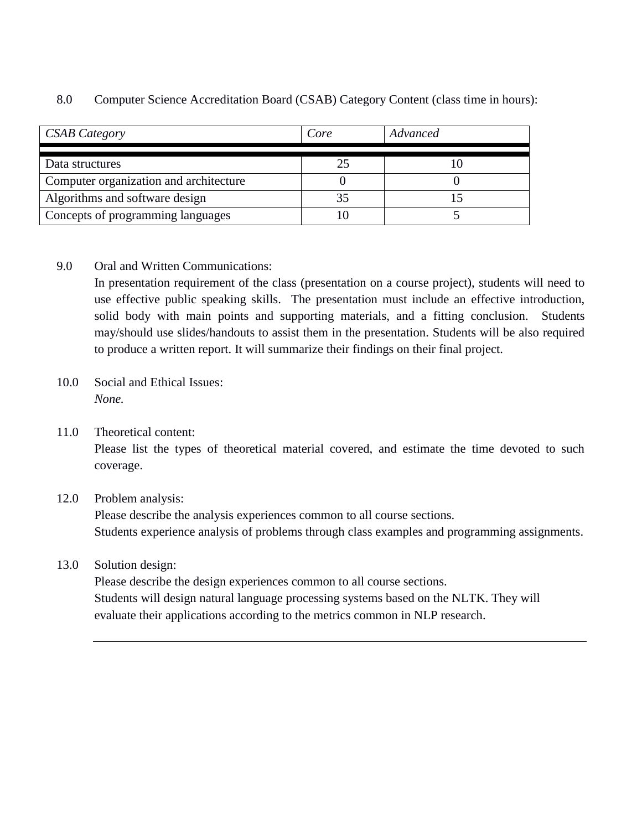| CSAB Category                          | Core | Advanced |
|----------------------------------------|------|----------|
|                                        |      |          |
| Data structures                        | 25   |          |
| Computer organization and architecture |      |          |
| Algorithms and software design         | 35   |          |
| Concepts of programming languages      |      |          |

### 8.0 Computer Science Accreditation Board (CSAB) Category Content (class time in hours):

## 9.0 Oral and Written Communications:

In presentation requirement of the class (presentation on a course project), students will need to use effective public speaking skills. The presentation must include an effective introduction, solid body with main points and supporting materials, and a fitting conclusion. Students may/should use slides/handouts to assist them in the presentation. Students will be also required to produce a written report. It will summarize their findings on their final project.

- 10.0 Social and Ethical Issues: *None.*
- 11.0 Theoretical content:

Please list the types of theoretical material covered, and estimate the time devoted to such coverage.

## 12.0 Problem analysis:

Please describe the analysis experiences common to all course sections. Students experience analysis of problems through class examples and programming assignments.

## 13.0 Solution design:

Please describe the design experiences common to all course sections. Students will design natural language processing systems based on the NLTK. They will evaluate their applications according to the metrics common in NLP research.